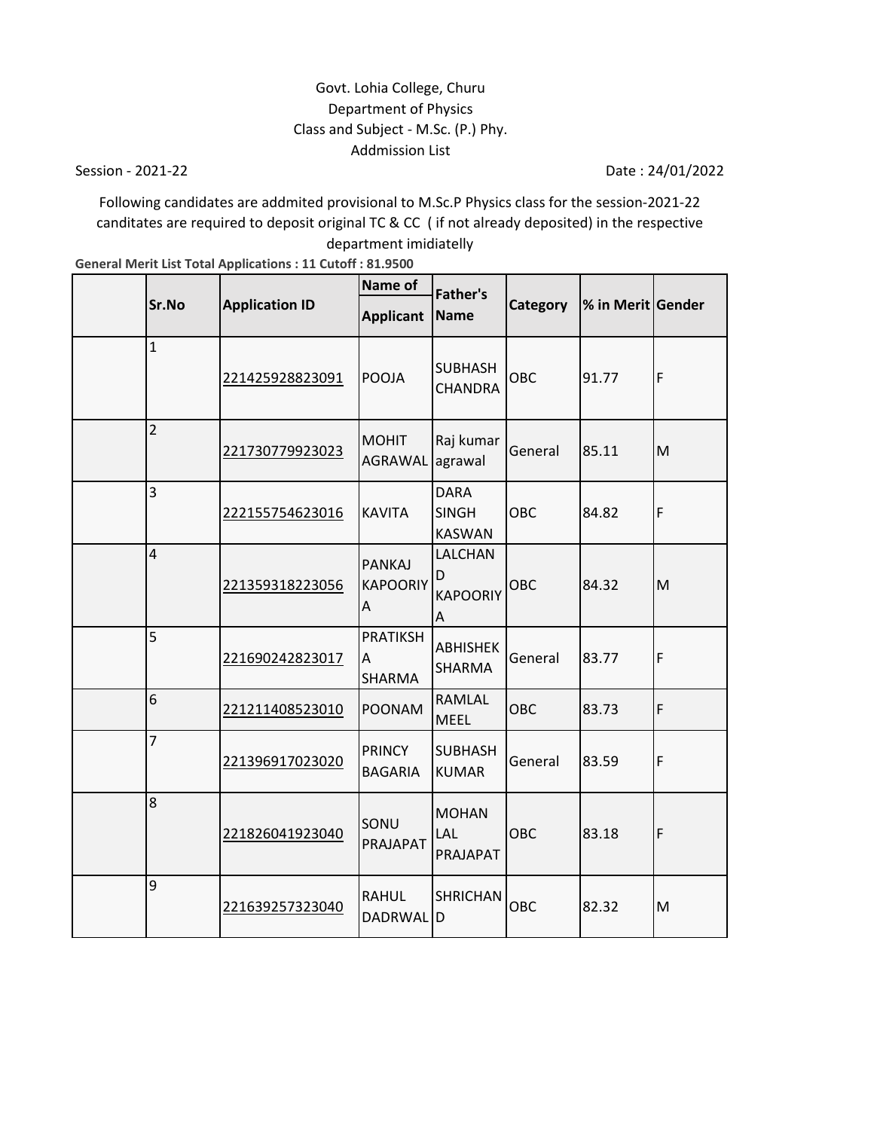# Govt. Lohia College, Churu Department of Physics Class and Subject - M.Sc. (P.) Phy. Addmission List

Session - 2021-22

Date : 24/01/2022

Following candidates are addmited provisional to M.Sc.P Physics class for the session-2021-22 canditates are required to deposit original TC & CC ( if not already deposited) in the respective department imidiatelly

**General Merit List Total Applications : 11 Cutoff : 81.9500**

|                         |                       | <b>Name of</b>                        | <b>Father's</b>                              |          |                   |             |
|-------------------------|-----------------------|---------------------------------------|----------------------------------------------|----------|-------------------|-------------|
| Sr.No                   | <b>Application ID</b> | <b>Applicant</b>                      | <b>Name</b>                                  | Category | % in Merit Gender |             |
| $\mathbf{1}$            | 221425928823091       | POOJA                                 | <b>SUBHASH</b><br><b>CHANDRA</b>             | OBC      | 91.77             | $\mathsf F$ |
| $\overline{c}$          | 221730779923023       | <b>MOHIT</b><br><b>AGRAWAL</b>        | Raj kumar<br>agrawal                         | General  | 85.11             | M           |
| 3                       | 222155754623016       | <b>KAVITA</b>                         | <b>DARA</b><br><b>SINGH</b><br><b>KASWAN</b> | OBC      | 84.82             | $\mathsf F$ |
| $\overline{\mathbf{4}}$ | 221359318223056       | <b>PANKAJ</b><br><b>KAPOORIY</b><br>Α | LALCHAN<br>D<br><b>KAPOORIY</b><br>Α         | OBC      | 84.32             | M           |
| 5                       | 221690242823017       | <b>PRATIKSH</b><br>A<br>SHARMA        | <b>ABHISHEK</b><br>SHARMA                    | General  | 83.77             | F           |
| 6                       | 221211408523010       | <b>POONAM</b>                         | RAMLAL<br><b>MEEL</b>                        | OBC      | 83.73             | F           |
| $\overline{7}$          | 221396917023020       | <b>PRINCY</b><br><b>BAGARIA</b>       | <b>SUBHASH</b><br><b>KUMAR</b>               | General  | 83.59             | F           |
| 8                       | 221826041923040       | SONU<br>PRAJAPAT                      | <b>MOHAN</b><br>LAL<br>PRAJAPAT              | OBC      | 83.18             | F           |
| 9                       | 221639257323040       | <b>RAHUL</b><br>DADRWAL D             | <b>SHRICHAN</b>                              | OBC      | 82.32             | M           |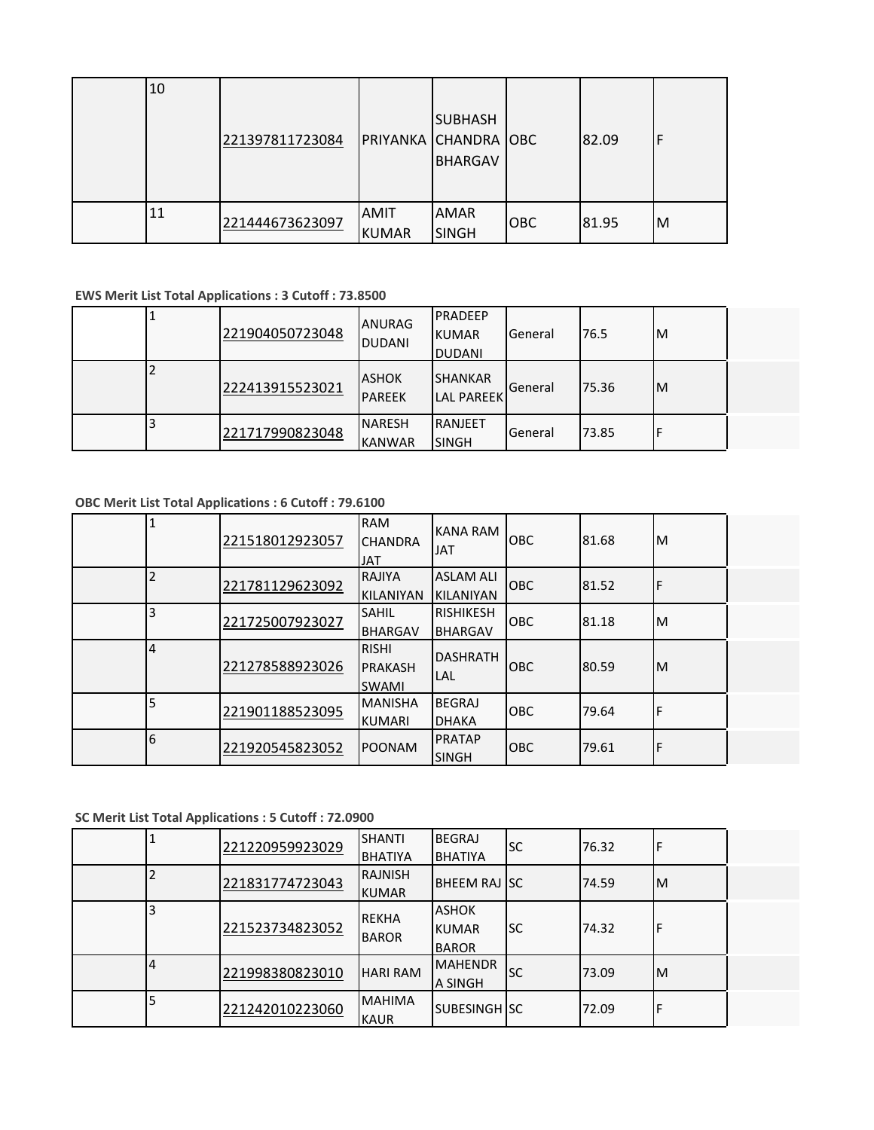| 10 | 221397811723084 |                             | <b>SUBHASH</b><br>PRIYANKA CHANDRA OBC<br><b>BHARGAV</b> |            | 82.09 |   |
|----|-----------------|-----------------------------|----------------------------------------------------------|------------|-------|---|
| 11 | 221444673623097 | <b>AMIT</b><br><b>KUMAR</b> | <b>AMAR</b><br><b>SINGH</b>                              | <b>OBC</b> | 81.95 | M |

#### **EWS Merit List Total Applications : 3 Cutoff : 73.8500**

| 221904050723048 | <b>ANURAG</b><br><b>DUDANI</b> | <b>IPRADEEP</b><br><b>KUMAR</b><br><b>DUDANI</b> | <b>I</b> General | 76.5  | M |  |
|-----------------|--------------------------------|--------------------------------------------------|------------------|-------|---|--|
| 222413915523021 | <b>ASHOK</b><br><b>PAREEK</b>  | <b>SHANKAR</b><br><b>LAL PAREEK</b>              | <b>I</b> General | 75.36 | M |  |
| 221717990823048 | <b>NARESH</b><br><b>KANWAR</b> | <b>RANJEET</b><br><b>SINGH</b>                   | <b>I</b> General | 73.85 |   |  |

## **OBC Merit List Total Applications : 6 Cutoff : 79.6100**

|   | 221518012923057 | <b>RAM</b><br><b>CHANDRA</b><br><b>JAT</b>     | <b>KANA RAM</b><br><b>JAT</b>        | OBC        | 81.68 | ΙM |  |
|---|-----------------|------------------------------------------------|--------------------------------------|------------|-------|----|--|
| 2 | 221781129623092 | RAJIYA<br><b>KILANIYAN</b>                     | <b>ASLAM ALI</b><br><b>KILANIYAN</b> | OBC        | 81.52 | ı۴ |  |
| 3 | 221725007923027 | <b>SAHIL</b><br><b>BHARGAV</b>                 | <b>RISHIKESH</b><br><b>BHARGAV</b>   | <b>OBC</b> | 81.18 | ΙM |  |
| 4 | 221278588923026 | <b>RISHI</b><br><b>PRAKASH</b><br><b>SWAMI</b> | <b>DASHRATH</b><br>LAL               | <b>OBC</b> | 80.59 | M  |  |
| 5 | 221901188523095 | <b>MANISHA</b><br><b>KUMARI</b>                | <b>BEGRAJ</b><br><b>DHAKA</b>        | <b>OBC</b> | 79.64 | Æ  |  |
| 6 | 221920545823052 | <b>POONAM</b>                                  | <b>PRATAP</b><br><b>SINGH</b>        | <b>OBC</b> | 79.61 | F  |  |

#### **SC Merit List Total Applications : 5 Cutoff : 72.0900**

|   | 221220959923029 | <b>SHANTI</b><br><b>BHATIYA</b> | <b>BEGRAJ</b><br><b>BHATIYA</b>              | lsc       | 76.32 |    |  |
|---|-----------------|---------------------------------|----------------------------------------------|-----------|-------|----|--|
|   | 221831774723043 | <b>RAJNISH</b><br><b>KUMAR</b>  | <b>BHEEM RAJ SC</b>                          |           | 74.59 | ΙM |  |
|   | 221523734823052 | <b>REKHA</b><br><b>BAROR</b>    | <b>ASHOK</b><br><b>KUMAR</b><br><b>BAROR</b> | lsc       | 74.32 |    |  |
| 4 | 221998380823010 | <b>HARI RAM</b>                 | <b>MAHENDR</b><br>A SINGH                    | <b>SC</b> | 73.09 | ΙM |  |
|   | 221242010223060 | <b>MAHIMA</b><br><b>KAUR</b>    | SUBESINGH SC                                 |           | 72.09 |    |  |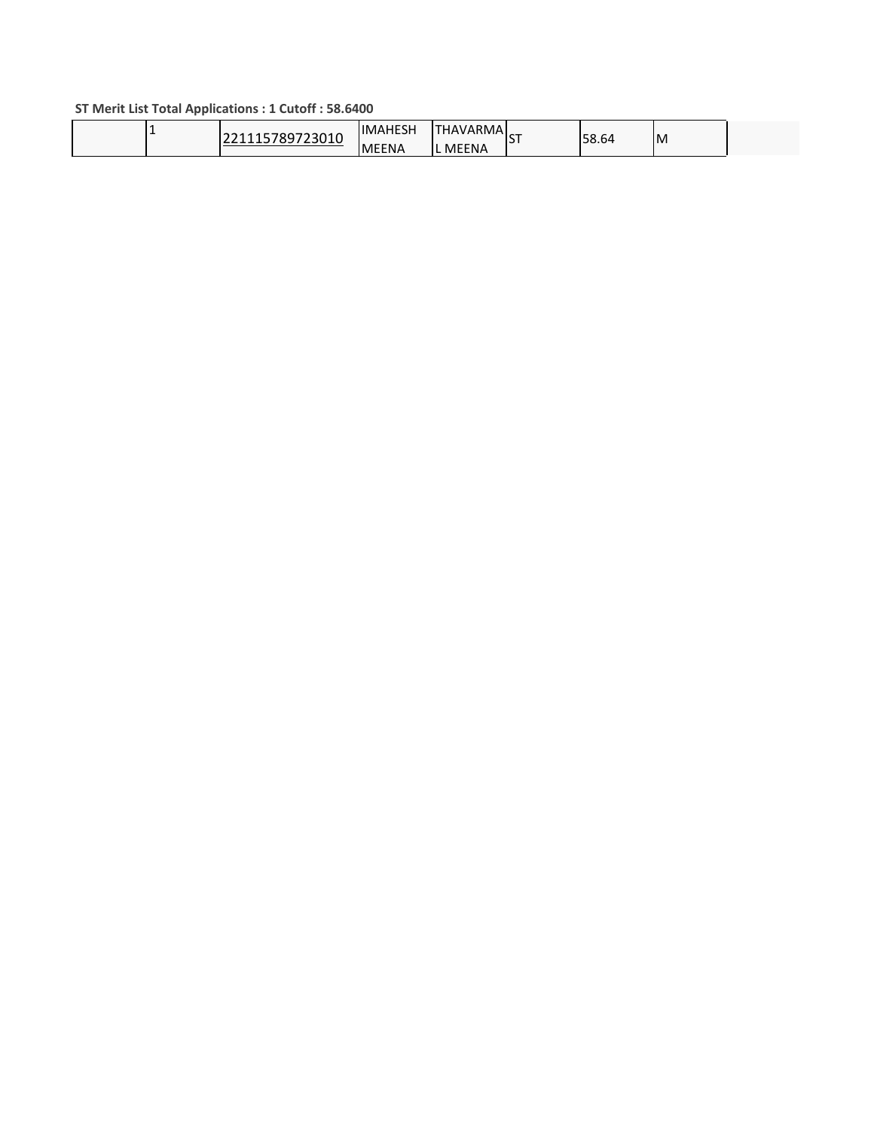### **ST Merit List Total Applications : 1 Cutoff : 58.6400**

| 5789723010 | <b>IMAHESH</b> | <b>HAVARMAL</b> | $\sim$ | 58.64 | ιM |  |
|------------|----------------|-----------------|--------|-------|----|--|
|            | <b>MEENA</b>   | <b>MEENA</b>    | . .    |       |    |  |